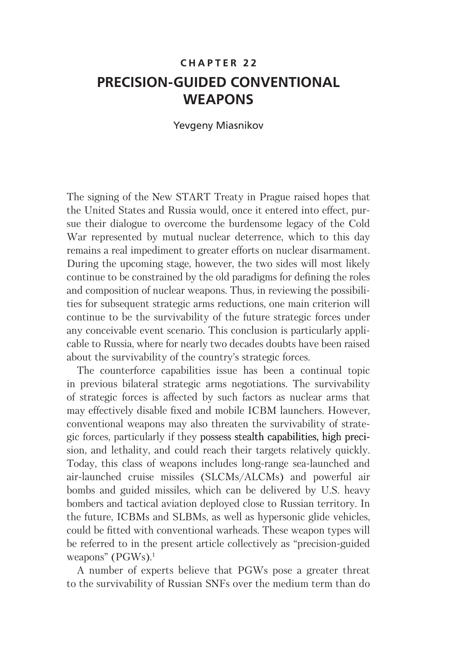# **CHAPTER 22 PRECISION-GUIDED CONVENTIONAL WEAPONS**

### **Yevgeny Miasnikov**

The signing of the New START Treaty in Prague raised hopes that the United States and Russia would, once it entered into effect, pursue their dialogue to overcome the burdensome legacy of the Cold War represented by mutual nuclear deterrence, which to this day remains a real impediment to greater efforts on nuclear disarmament. During the upcoming stage, however, the two sides will most likely continue to be constrained by the old paradigms for defining the roles and composition of nuclear weapons. Thus, in reviewing the possibilities for subsequent strategic arms reductions, one main criterion will continue to be the survivability of the future strategic forces under any conceivable event scenario. This conclusion is particularly applicable to Russia, where for nearly two decades doubts have been raised about the survivability of the country's strategic forces.

The counterforce capabilities issue has been a continual topic in previous bilateral strategic arms negotiations. The survivability of strategic forces is affected by such factors as nuclear arms that may effectively disable fixed and mobile ICBM launchers. However, conventional weapons may also threaten the survivability of strategic forces, particularly if they possess stealth capabilities, high precision, and lethality, and could reach their targets relatively quickly. Today, this class of weapons includes long-range sea-launched and air-launched cruise missiles (SLCMs/ALCMs) and powerful air bombs and guided missiles, which can be delivered by U.S. heavy bombers and tactical aviation deployed close to Russian territory. In the future, ICBMs and SLBMs, as well as hypersonic glide vehicles, could be fitted with conventional warheads. These weapon types will be referred to in the present article collectively as "precision-guided" weapons" (PGWs). $1$ 

A number of experts believe that PGWs pose a greater threat to the survivability of Russian SNFs over the medium term than do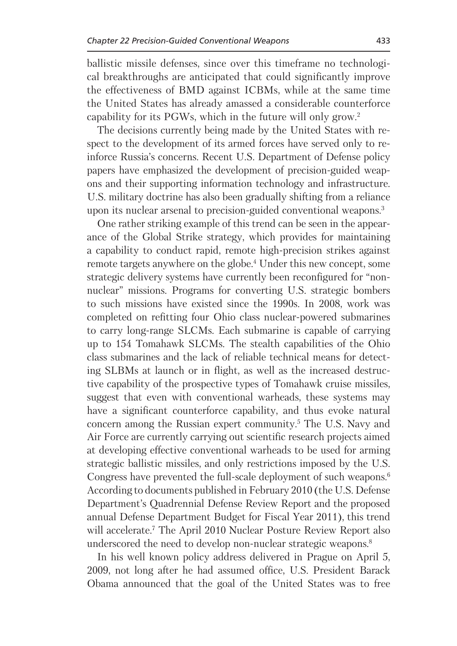ballistic missile defenses, since over this timeframe no technological breakthroughs are anticipated that could significantly improve the effectiveness of BMD against ICBMs, while at the same time the United States has already amassed a considerable counterforce capability for its PGWs, which in the future will only grow.<sup>2</sup>

The decisions currently being made by the United States with respect to the development of its armed forces have served only to reinforce Russia's concerns. Recent U.S. Department of Defense policy papers have emphasized the development of precision-guided weapons and their supporting information technology and infrastructure. U.S. military doctrine has also been gradually shifting from a reliance upon its nuclear arsenal to precision-guided conventional weapons.<sup>3</sup>

One rather striking example of this trend can be seen in the appearance of the Global Strike strategy, which provides for maintaining a capability to conduct rapid, remote high-precision strikes against remote targets anywhere on the globe.<sup>4</sup> Under this new concept, some strategic delivery systems have currently been reconfigured for "nonnuclear" missions. Programs for converting U.S. strategic bombers to such missions have existed since the 1990s. In 2008, work was completed on refitting four Ohio class nuclear-powered submarines to carry long-range SLCMs. Each submarine is capable of carrying up to 154 Tomahawk SLCMs. The stealth capabilities of the Ohio class submarines and the lack of reliable technical means for detecting SLBMs at launch or in flight, as well as the increased destructive capability of the prospective types of Tomahawk cruise missiles, suggest that even with conventional warheads, these systems may have a significant counterforce capability, and thus evoke natural concern among the Russian expert community.<sup>5</sup> The U.S. Navy and Air Force are currently carrying out scientific research projects aimed at developing effective conventional warheads to be used for arming strategic ballistic missiles, and only restrictions imposed by the U.S. Congress have prevented the full-scale deployment of such weapons.<sup>6</sup> According to documents published in February 2010 (the U.S. Defense Department's Ouadrennial Defense Review Report and the proposed annual Defense Department Budget for Fiscal Year 2011), this trend will accelerate.<sup>7</sup> The April 2010 Nuclear Posture Review Report also underscored the need to develop non-nuclear strategic weapons.<sup>8</sup>

In his well known policy address delivered in Prague on April 5, 2009, not long after he had assumed office, U.S. President Barack Obama announced that the goal of the United States was to free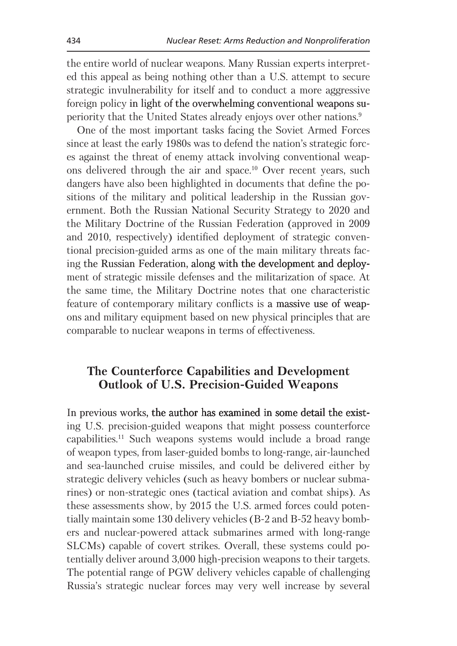the entire world of nuclear weapons. Many Russian experts interpreted this appeal as being nothing other than a U.S. attempt to secure strategic invulnerability for itself and to conduct a more aggressive foreign policy in light of the overwhelming conventional weapons superiority that the United States already enjoys over other nations.<sup>9</sup>

One of the most important tasks facing the Soviet Armed Forces since at least the early 1980s was to defend the nation's strategic forces against the threat of enemy attack involving conventional weapons delivered through the air and space.<sup>10</sup> Over recent years, such dangers have also been highlighted in documents that define the positions of the military and political leadership in the Russian government. Both the Russian National Security Strategy to 2020 and the Military Doctrine of the Russian Federation (approved in 2009) and 2010, respectively) identified deployment of strategic conventional precision-guided arms as one of the main military threats facing the Russian Federation, along with the development and deployment of strategic missile defenses and the militarization of space. At the same time, the Military Doctrine notes that one characteristic feature of contemporary military conflicts is a massive use of weapons and military equipment based on new physical principles that are comparable to nuclear weapons in terms of effectiveness.

# The Counterforce Capabilities and Development **Outlook of U.S. Precision-Guided Weapons**

In previous works, the author has examined in some detail the existing U.S. precision-guided weapons that might possess counterforce capabilities.<sup>11</sup> Such weapons systems would include a broad range of weapon types, from laser-guided bombs to long-range, air-launched and sea-launched cruise missiles, and could be delivered either by strategic delivery vehicles (such as heavy bombers or nuclear submarines) or non-strategic ones (tactical aviation and combat ships). As these assessments show, by 2015 the U.S. armed forces could potentially maintain some 130 delivery vehicles (B-2 and B-52 heavy bombers and nuclear-powered attack submarines armed with long-range SLCMs) capable of covert strikes. Overall, these systems could potentially deliver around 3,000 high-precision weapons to their targets. The potential range of PGW delivery vehicles capable of challenging Russia's strategic nuclear forces may very well increase by several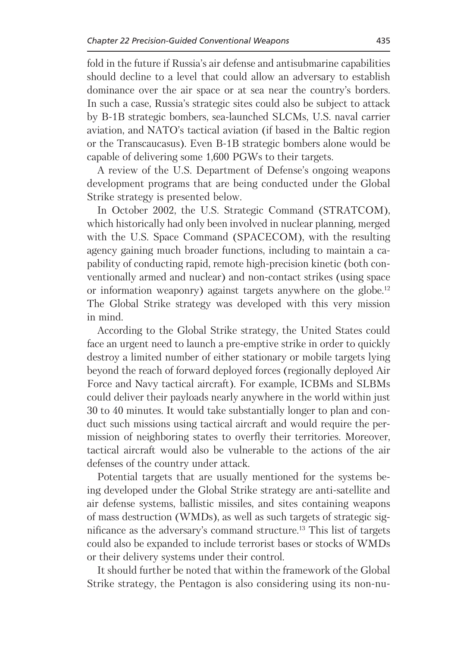fold in the future if Russia's air defense and antisubmarine capabilities should decline to a level that could allow an adversary to establish dominance over the air space or at sea near the country's borders. In such a case, Russia's strategic sites could also be subject to attack by B-1B strategic bombers, sea-launched SLCMs, U.S. naval carrier aviation, and NATO's tactical aviation (if based in the Baltic region or the Transcaucasus). Even B-1B strategic bombers alone would be capable of delivering some 1,600 PGWs to their targets.

A review of the U.S. Department of Defense's ongoing weapons development programs that are being conducted under the Global Strike strategy is presented below.

In October 2002, the U.S. Strategic Command (STRATCOM), which historically had only been involved in nuclear planning, merged with the U.S. Space Command (SPACECOM), with the resulting agency gaining much broader functions, including to maintain a capability of conducting rapid, remote high-precision kinetic (both conventionally armed and nuclear) and non-contact strikes (using space or information weaponry) against targets anywhere on the globe.<sup>12</sup> The Global Strike strategy was developed with this very mission in mind.

According to the Global Strike strategy, the United States could face an urgent need to launch a pre-emptive strike in order to quickly destroy a limited number of either stationary or mobile targets lying beyond the reach of forward deployed forces (regionally deployed Air Force and Navy tactical aircraft). For example, ICBMs and SLBMs could deliver their payloads nearly anywhere in the world within just 30 to 40 minutes. It would take substantially longer to plan and conduct such missions using tactical aircraft and would require the permission of neighboring states to overfly their territories. Moreover, tactical aircraft would also be vulnerable to the actions of the air defenses of the country under attack.

Potential targets that are usually mentioned for the systems being developed under the Global Strike strategy are anti-satellite and air defense systems, ballistic missiles, and sites containing weapons of mass destruction (WMDs), as well as such targets of strategic significance as the adversary's command structure.<sup>13</sup> This list of targets could also be expanded to include terrorist bases or stocks of WMDs or their delivery systems under their control.

It should further be noted that within the framework of the Global Strike strategy, the Pentagon is also considering using its non-nu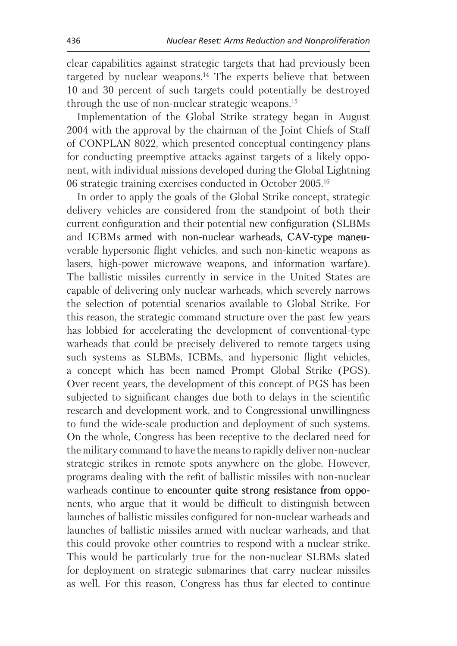clear capabilities against strategic targets that had previously been targeted by nuclear weapons.<sup>14</sup> The experts believe that between 10 and 30 percent of such targets could potentially be destroved through the use of non-nuclear strategic weapons.<sup>15</sup>

Implementation of the Global Strike strategy began in August 2004 with the approval by the chairman of the Joint Chiefs of Staff of CONPLAN 8022, which presented conceptual contingency plans for conducting preemptive attacks against targets of a likely opponent, with individual missions developed during the Global Lightning 06 strategic training exercises conducted in October 2005.<sup>16</sup>

In order to apply the goals of the Global Strike concept, strategic delivery vehicles are considered from the standpoint of both their current configuration and their potential new configuration (SLBMs) and ICBMs armed with non-nuclear warheads, CAV-type maneuverable hypersonic flight vehicles, and such non-kinetic weapons as lasers, high-power microwave weapons, and information warfare). The ballistic missiles currently in service in the United States are capable of delivering only nuclear warheads, which severely narrows the selection of potential scenarios available to Global Strike. For this reason, the strategic command structure over the past few years has lobbied for accelerating the development of conventional-type warheads that could be precisely delivered to remote targets using such systems as SLBMs, ICBMs, and hypersonic flight vehicles, a concept which has been named Prompt Global Strike (PGS). Over recent years, the development of this concept of PGS has been subjected to significant changes due both to delays in the scientific research and development work, and to Congressional unwillingness to fund the wide-scale production and deployment of such systems. On the whole, Congress has been receptive to the declared need for the military command to have the means to rapidly deliver non-nuclear strategic strikes in remote spots anywhere on the globe. However, programs dealing with the refit of ballistic missiles with non-nuclear warheads continue to encounter quite strong resistance from opponents, who argue that it would be difficult to distinguish between launches of ballistic missiles configured for non-nuclear warheads and launches of ballistic missiles armed with nuclear warheads, and that this could provoke other countries to respond with a nuclear strike. This would be particularly true for the non-nuclear SLBMs slated for deployment on strategic submarines that carry nuclear missiles as well. For this reason, Congress has thus far elected to continue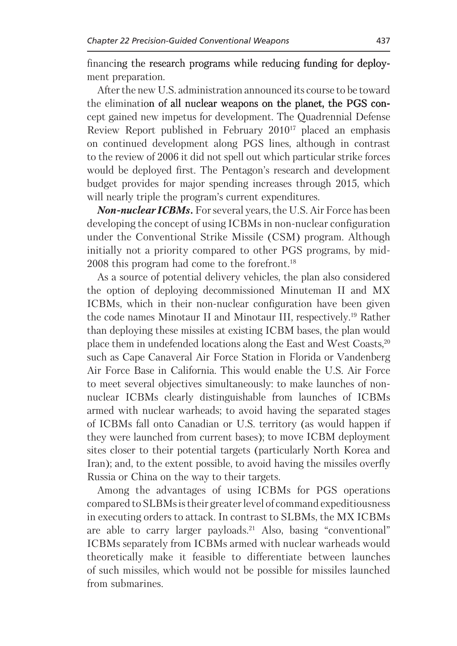financing the research programs while reducing funding for deployment preparation.

After the new U.S. administration announced its course to be toward the elimination of all nuclear weapons on the planet, the PGS concept gained new impetus for development. The Quadrennial Defense Review Report published in February 2010<sup>17</sup> placed an emphasis on continued development along PGS lines, although in contrast to the review of 2006 it did not spell out which particular strike forces would be deployed first. The Pentagon's research and development budget provides for major spending increases through 2015, which will nearly triple the program's current expenditures.

**Non-nuclear ICBMs.** For several years, the U.S. Air Force has been developing the concept of using ICBMs in non-nuclear configuration under the Conventional Strike Missile (CSM) program. Although initially not a priority compared to other PGS programs, by mid-2008 this program had come to the forefront.<sup>18</sup>

As a source of potential delivery vehicles, the plan also considered the option of deploying decommissioned Minuteman II and MX ICBMs, which in their non-nuclear configuration have been given the code names Minotaur II and Minotaur III, respectively.<sup>19</sup> Rather than deploying these missiles at existing ICBM bases, the plan would place them in undefended locations along the East and West Coasts,<sup>20</sup> such as Cape Canaveral Air Force Station in Florida or Vandenberg Air Force Base in California. This would enable the U.S. Air Force to meet several objectives simultaneously: to make launches of nonnuclear ICBMs clearly distinguishable from launches of ICBMs armed with nuclear warheads; to avoid having the separated stages of ICBMs fall onto Canadian or U.S. territory (as would happen if they were launched from current bases); to move ICBM deployment sites closer to their potential targets (particularly North Korea and Iran); and, to the extent possible, to avoid having the missiles overfly Russia or China on the way to their targets.

Among the advantages of using ICBMs for PGS operations compared to SLBMs is their greater level of command expeditiousness in executing orders to attack. In contrast to SLBMs, the MX ICBMs are able to carry larger payloads.<sup>21</sup> Also, basing "conventional" ICBMs separately from ICBMs armed with nuclear warheads would theoretically make it feasible to differentiate between launches of such missiles, which would not be possible for missiles launched from submarines.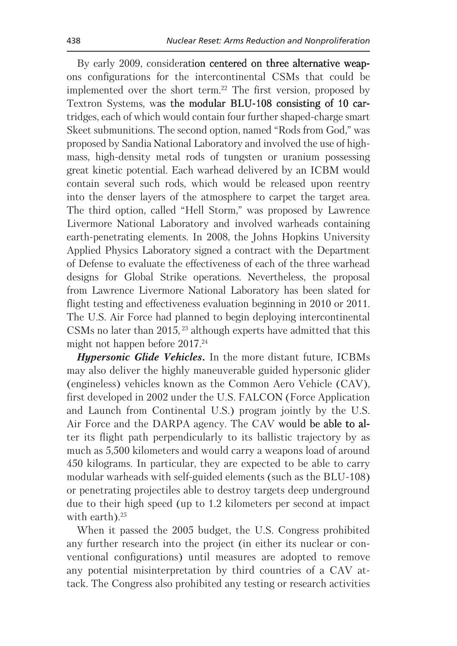By early 2009, consideration centered on three alternative weapons configurations for the intercontinental CSMs that could be implemented over the short term.<sup>22</sup> The first version, proposed by Textron Systems, was the modular BLU-108 consisting of 10 cartridges, each of which would contain four further shaped-charge smart Skeet submunitions. The second option, named "Rods from God," was proposed by Sandia National Laboratory and involved the use of highmass, high-density metal rods of tungsten or uranium possessing great kinetic potential. Each warhead delivered by an ICBM would contain several such rods, which would be released upon reentry into the denser layers of the atmosphere to carpet the target area. The third option, called "Hell Storm," was proposed by Lawrence Livermore National Laboratory and involved warheads containing earth-penetrating elements. In 2008, the Johns Hopkins University Applied Physics Laboratory signed a contract with the Department of Defense to evaluate the effectiveness of each of the three warhead designs for Global Strike operations. Nevertheless, the proposal from Lawrence Livermore National Laboratory has been slated for flight testing and effectiveness evaluation beginning in 2010 or 2011. The U.S. Air Force had planned to begin deploying intercontinental CSMs no later than 2015,<sup>23</sup> although experts have admitted that this might not happen before  $2017.^{24}$ 

**Hypersonic Glide Vehicles.** In the more distant future, ICBMs may also deliver the highly maneuverable guided hypersonic glider (engineless) vehicles known as the Common Aero Vehicle (CAV), first developed in 2002 under the U.S. FALCON (Force Application and Launch from Continental U.S.) program jointly by the U.S. Air Force and the DARPA agency. The CAV would be able to alter its flight path perpendicularly to its ballistic trajectory by as much as 5,500 kilometers and would carry a weapons load of around 450 kilograms. In particular, they are expected to be able to carry modular warheads with self-guided elements (such as the BLU-108) or penetrating projectiles able to destroy targets deep underground due to their high speed (up to 1.2 kilometers per second at impact) with earth). $25$ 

When it passed the 2005 budget, the U.S. Congress prohibited any further research into the project (in either its nuclear or conventional configurations) until measures are adopted to remove any potential misinterpretation by third countries of a CAV attack. The Congress also prohibited any testing or research activities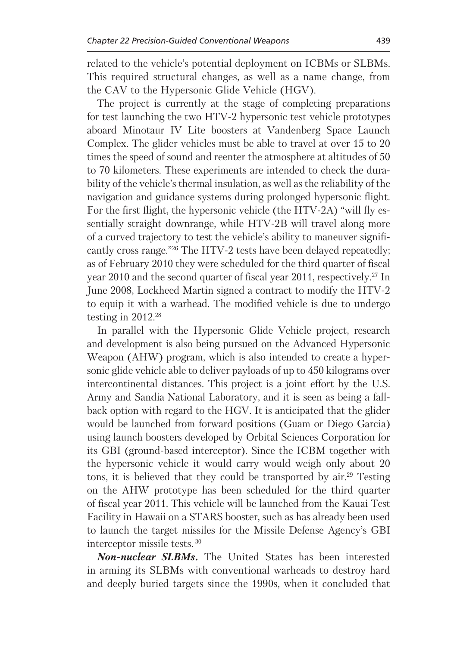related to the vehicle's potential deployment on ICBMs or SLBMs. This required structural changes, as well as a name change, from the CAV to the Hypersonic Glide Vehicle (HGV).

The project is currently at the stage of completing preparations for test launching the two HTV-2 hypersonic test vehicle prototypes aboard Minotaur IV Lite boosters at Vandenberg Space Launch Complex. The glider vehicles must be able to travel at over 15 to 20 times the speed of sound and reenter the atmosphere at altitudes of 50 to 70 kilometers. These experiments are intended to check the durability of the vehicle's thermal insulation, as well as the reliability of the navigation and guidance systems during prolonged hypersonic flight. For the first flight, the hypersonic vehicle (the HTV-2A) "will fly essentially straight downrange, while HTV-2B will travel along more of a curved trajectory to test the vehicle's ability to maneuver significantly cross range."26 The HTV-2 tests have been delayed repeatedly; as of February 2010 they were scheduled for the third quarter of fiscal year 2010 and the second quarter of fiscal year 2011, respectively.<sup>27</sup> In June 2008, Lockheed Martin signed a contract to modify the HTV-2 to equip it with a warhead. The modified vehicle is due to undergo testing in  $2012^{28}$ 

In parallel with the Hypersonic Glide Vehicle project, research and development is also being pursued on the Advanced Hypersonic Weapon (AHW) program, which is also intended to create a hypersonic glide vehicle able to deliver payloads of up to 450 kilograms over intercontinental distances. This project is a joint effort by the U.S. Army and Sandia National Laboratory, and it is seen as being a fallback option with regard to the HGV. It is anticipated that the glider would be launched from forward positions (Guam or Diego Garcia) using launch boosters developed by Orbital Sciences Corporation for its GBI (ground-based interceptor). Since the ICBM together with the hypersonic vehicle it would carry would weigh only about 20 tons, it is believed that they could be transported by air.<sup>29</sup> Testing on the AHW prototype has been scheduled for the third quarter of fiscal year 2011. This vehicle will be launched from the Kauai Test Facility in Hawaii on a STARS booster, such as has already been used to launch the target missiles for the Missile Defense Agency's GBI interceptor missile tests.<sup>30</sup>

**Non-nuclear SLBMs.** The United States has been interested in arming its SLBMs with conventional warheads to destroy hard and deeply buried targets since the 1990s, when it concluded that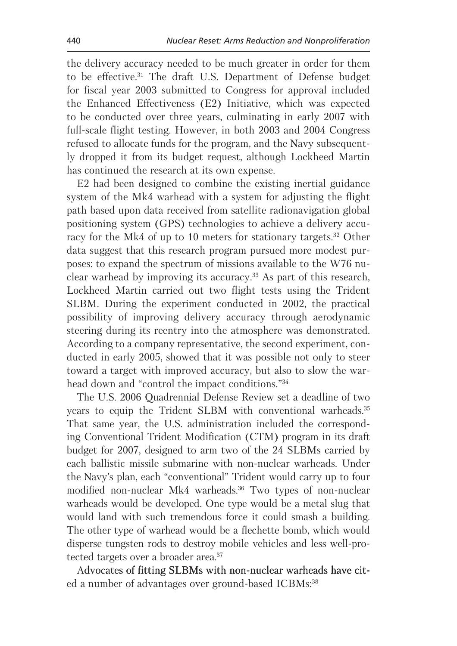the delivery accuracy needed to be much greater in order for them to be effective.<sup>31</sup> The draft U.S. Department of Defense budget for fiscal year 2003 submitted to Congress for approval included the Enhanced Effectiveness (E2) Initiative, which was expected to be conducted over three years, culminating in early 2007 with full-scale flight testing. However, in both 2003 and 2004 Congress refused to allocate funds for the program, and the Navy subsequently dropped it from its budget request, although Lockheed Martin has continued the research at its own expense.

E2 had been designed to combine the existing inertial guidance system of the Mk4 warhead with a system for adjusting the flight path based upon data received from satellite radionavigation global positioning system (GPS) technologies to achieve a delivery accuracy for the Mk4 of up to 10 meters for stationary targets.<sup>32</sup> Other data suggest that this research program pursued more modest purposes: to expand the spectrum of missions available to the W76 nuclear warhead by improving its accuracy.<sup>33</sup> As part of this research, Lockheed Martin carried out two flight tests using the Trident SLBM. During the experiment conducted in 2002, the practical possibility of improving delivery accuracy through aerodynamic steering during its reentry into the atmosphere was demonstrated. According to a company representative, the second experiment, conducted in early 2005, showed that it was possible not only to steer toward a target with improved accuracy, but also to slow the warhead down and "control the impact conditions."34

The U.S. 2006 Ouadrennial Defense Review set a deadline of two years to equip the Trident SLBM with conventional warheads.<sup>35</sup> That same year, the U.S. administration included the corresponding Conventional Trident Modification (CTM) program in its draft budget for 2007, designed to arm two of the 24 SLBMs carried by each ballistic missile submarine with non-nuclear warheads. Under the Navy's plan, each "conventional" Trident would carry up to four modified non-nuclear Mk4 warheads.<sup>36</sup> Two types of non-nuclear warheads would be developed. One type would be a metal slug that would land with such tremendous force it could smash a building. The other type of warhead would be a flechette bomb, which would disperse tungsten rods to destroy mobile vehicles and less well-protected targets over a broader area.<sup>37</sup>

Advocates of fitting SLBMs with non-nuclear warheads have cited a number of advantages over ground-based ICBMs:<sup>38</sup>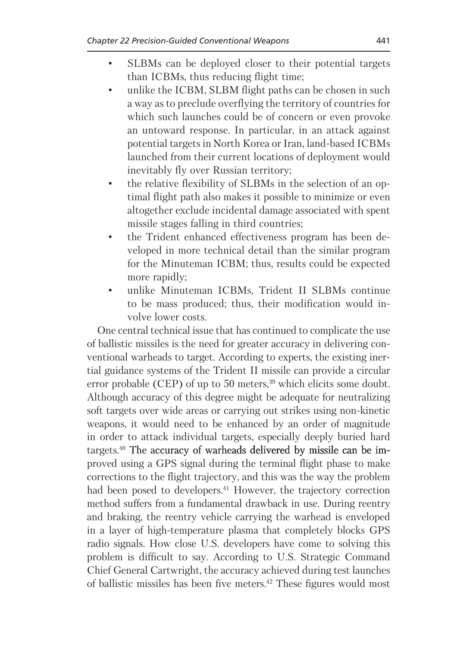- SLBMs can be deployed closer to their potential targets than ICBMs, thus reducing flight time;
- unlike the ICBM, SLBM flight paths can be chosen in such  $\bullet$ a way as to preclude overflying the territory of countries for which such launches could be of concern or even provoke an untoward response. In particular, in an attack against potential targets in North Korea or Iran, land-based ICBMs launched from their current locations of deployment would inevitably fly over Russian territory;
- the relative flexibility of SLBMs in the selection of an op- $\bullet$ timal flight path also makes it possible to minimize or even altogether exclude incidental damage associated with spent missile stages falling in third countries;
- the Trident enhanced effectiveness program has been developed in more technical detail than the similar program for the Minuteman ICBM; thus, results could be expected more rapidly;
- unlike Minuteman ICBMs, Trident II SLBMs continue  $\bullet$ to be mass produced; thus, their modification would involve lower costs.

One central technical issue that has continued to complicate the use of ballistic missiles is the need for greater accuracy in delivering conventional warheads to target. According to experts, the existing inertial guidance systems of the Trident II missile can provide a circular error probable (CEP) of up to 50 meters, $39$  which elicits some doubt. Although accuracy of this degree might be adequate for neutralizing soft targets over wide areas or carrying out strikes using non-kinetic weapons, it would need to be enhanced by an order of magnitude in order to attack individual targets, especially deeply buried hard targets.<sup>40</sup> The accuracy of warheads delivered by missile can be improved using a GPS signal during the terminal flight phase to make corrections to the flight trajectory, and this was the way the problem had been posed to developers.<sup>41</sup> However, the trajectory correction method suffers from a fundamental drawback in use. During reentry and braking, the reentry vehicle carrying the warhead is enveloped in a layer of high-temperature plasma that completely blocks GPS radio signals. How close U.S. developers have come to solving this problem is difficult to say. According to U.S. Strategic Command Chief General Cartwright, the accuracy achieved during test launches of ballistic missiles has been five meters.<sup>42</sup> These figures would most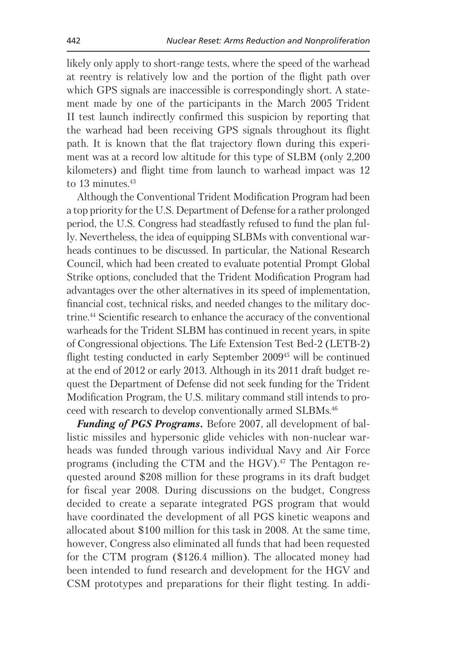likely only apply to short-range tests, where the speed of the warhead at reentry is relatively low and the portion of the flight path over which GPS signals are inaccessible is correspondingly short. A statement made by one of the participants in the March 2005 Trident II test launch indirectly confirmed this suspicion by reporting that the warhead had been receiving GPS signals throughout its flight path. It is known that the flat trajectory flown during this experiment was at a record low altitude for this type of SLBM (only 2.200) kilometers) and flight time from launch to warhead impact was 12 to 13 minutes. $43$ 

Although the Conventional Trident Modification Program had been a top priority for the U.S. Department of Defense for a rather prolonged period, the U.S. Congress had steadfastly refused to fund the plan fully. Nevertheless, the idea of equipping SLBMs with conventional warheads continues to be discussed. In particular, the National Research Council, which had been created to evaluate potential Prompt Global Strike options, concluded that the Trident Modification Program had advantages over the other alternatives in its speed of implementation, financial cost, technical risks, and needed changes to the military doctrine.<sup>44</sup> Scientific research to enhance the accuracy of the conventional warheads for the Trident SLBM has continued in recent years, in spite of Congressional objections. The Life Extension Test Bed-2 (LETB-2) flight testing conducted in early September 2009<sup>45</sup> will be continued at the end of 2012 or early 2013. Although in its 2011 draft budget request the Department of Defense did not seek funding for the Trident Modification Program, the U.S. military command still intends to proceed with research to develop conventionally armed SLBMs.<sup>46</sup>

**Funding of PGS Programs.** Before 2007, all development of ballistic missiles and hypersonic glide vehicles with non-nuclear warheads was funded through various individual Navy and Air Force programs (including the CTM and the HGV).<sup>47</sup> The Pentagon requested around \$208 million for these programs in its draft budget for fiscal year 2008. During discussions on the budget, Congress decided to create a separate integrated PGS program that would have coordinated the development of all PGS kinetic weapons and allocated about \$100 million for this task in 2008. At the same time, however, Congress also eliminated all funds that had been requested for the CTM program (\$126.4 million). The allocated money had been intended to fund research and development for the HGV and CSM prototypes and preparations for their flight testing. In addi-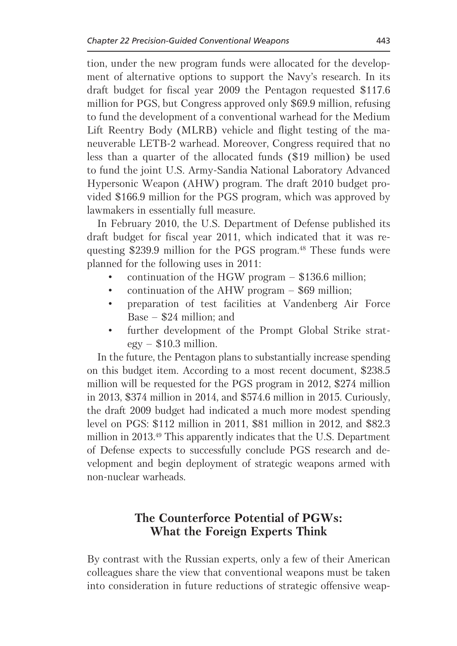tion, under the new program funds were allocated for the development of alternative options to support the Navy's research. In its draft budget for fiscal year 2009 the Pentagon requested \$117.6 million for PGS, but Congress approved only \$69.9 million, refusing to fund the development of a conventional warhead for the Medium Lift Reentry Body (MLRB) vehicle and flight testing of the maneuverable LETB-2 warhead. Moreover, Congress required that no less than a quarter of the allocated funds (\$19 million) be used to fund the joint U.S. Army-Sandia National Laboratory Advanced Hypersonic Weapon (AHW) program. The draft 2010 budget provided \$166.9 million for the PGS program, which was approved by lawmakers in essentially full measure.

In February 2010, the U.S. Department of Defense published its draft budget for fiscal year 2011, which indicated that it was requesting \$239.9 million for the PGS program.<sup>48</sup> These funds were planned for the following uses in 2011:

- continuation of the HGW program  $-$  \$136.6 million;
- $\bullet$ continuation of the AHW program  $-$  \$69 million;
- preparation of test facilities at Vandenberg Air Force Base  $-$  \$24 million; and
- further development of the Prompt Global Strike strat- $\bullet$  $\text{egy}$  – \$10.3 million.

In the future, the Pentagon plans to substantially increase spending on this budget item. According to a most recent document, \$238.5 million will be requested for the PGS program in 2012, \$274 million in 2013, \$374 million in 2014, and \$574.6 million in 2015. Curiously, the draft 2009 budget had indicated a much more modest spending level on PGS: \$112 million in 2011, \$81 million in 2012, and \$82.3 million in 2013.<sup>49</sup> This apparently indicates that the U.S. Department of Defense expects to successfully conclude PGS research and development and begin deployment of strategic weapons armed with non-nuclear warheads.

# The Counterforce Potential of PGWs: What the Foreign Experts Think

By contrast with the Russian experts, only a few of their American colleagues share the view that conventional weapons must be taken into consideration in future reductions of strategic offensive weap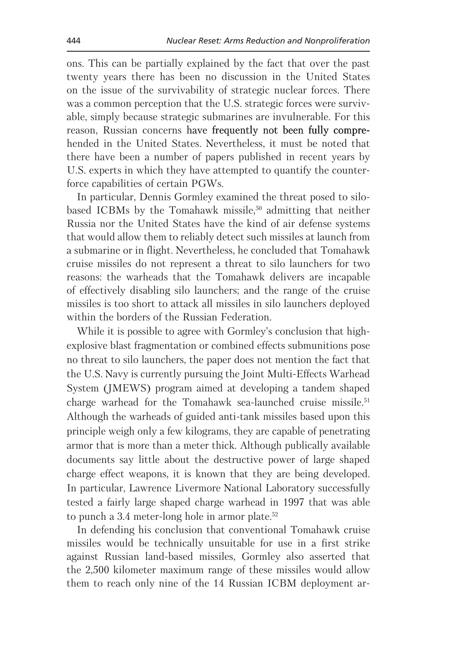ons. This can be partially explained by the fact that over the past twenty years there has been no discussion in the United States on the issue of the survivability of strategic nuclear forces. There was a common perception that the U.S. strategic forces were survivable, simply because strategic submarines are invulnerable. For this reason, Russian concerns have frequently not been fully comprehended in the United States. Nevertheless, it must be noted that there have been a number of papers published in recent years by U.S. experts in which they have attempted to quantify the counterforce capabilities of certain PGWs.

In particular, Dennis Gormley examined the threat posed to silobased ICBMs by the Tomahawk missile,<sup>50</sup> admitting that neither Russia nor the United States have the kind of air defense systems that would allow them to reliably detect such missiles at launch from a submarine or in flight. Nevertheless, he concluded that Tomahawk cruise missiles do not represent a threat to silo launchers for two reasons: the warheads that the Tomahawk delivers are incapable of effectively disabling silo launchers; and the range of the cruise missiles is too short to attack all missiles in silo launchers deployed within the borders of the Russian Federation.

While it is possible to agree with Gormley's conclusion that highexplosive blast fragmentation or combined effects submunitions pose no threat to silo launchers, the paper does not mention the fact that the U.S. Navy is currently pursuing the Joint Multi-Effects Warhead System (JMEWS) program aimed at developing a tandem shaped charge warhead for the Tomahawk sea-launched cruise missile.<sup>51</sup> Although the warheads of guided anti-tank missiles based upon this principle weigh only a few kilograms, they are capable of penetrating armor that is more than a meter thick. Although publically available documents say little about the destructive power of large shaped charge effect weapons, it is known that they are being developed. In particular, Lawrence Livermore National Laboratory successfully tested a fairly large shaped charge warhead in 1997 that was able to punch a  $3.4$  meter-long hole in armor plate.<sup>52</sup>

In defending his conclusion that conventional Tomahawk cruise missiles would be technically unsuitable for use in a first strike against Russian land-based missiles, Gormley also asserted that the 2,500 kilometer maximum range of these missiles would allow them to reach only nine of the 14 Russian ICBM deployment ar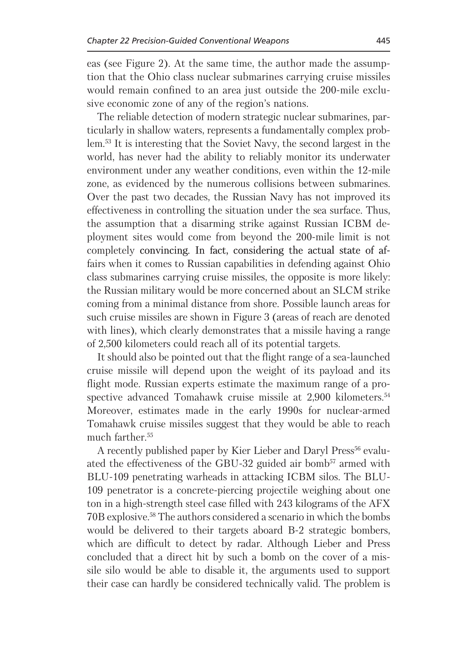eas (see Figure 2). At the same time, the author made the assumption that the Ohio class nuclear submarines carrying cruise missiles would remain confined to an area just outside the 200-mile exclusive economic zone of any of the region's nations.

The reliable detection of modern strategic nuclear submarines, particularly in shallow waters, represents a fundamentally complex problem.<sup>53</sup> It is interesting that the Soviet Navy, the second largest in the world, has never had the ability to reliably monitor its underwater environment under any weather conditions, even within the 12-mile zone, as evidenced by the numerous collisions between submarines. Over the past two decades, the Russian Navy has not improved its effectiveness in controlling the situation under the sea surface. Thus, the assumption that a disarming strike against Russian ICBM deployment sites would come from beyond the 200-mile limit is not completely convincing. In fact, considering the actual state of affairs when it comes to Russian capabilities in defending against Ohio class submarines carrying cruise missiles, the opposite is more likely: the Russian military would be more concerned about an SLCM strike coming from a minimal distance from shore. Possible launch areas for such cruise missiles are shown in Figure 3 (areas of reach are denoted with lines), which clearly demonstrates that a missile having a range of 2,500 kilometers could reach all of its potential targets.

It should also be pointed out that the flight range of a sea-launched cruise missile will depend upon the weight of its payload and its flight mode. Russian experts estimate the maximum range of a prospective advanced Tomahawk cruise missile at 2,900 kilometers.<sup>54</sup> Moreover, estimates made in the early 1990s for nuclear-armed Tomahawk cruise missiles suggest that they would be able to reach much farther.<sup>55</sup>

A recently published paper by Kier Lieber and Daryl Press<sup>56</sup> evaluated the effectiveness of the GBU-32 guided air bomb<sup>57</sup> armed with BLU-109 penetrating warheads in attacking ICBM silos. The BLU-109 penetrator is a concrete-piercing projectile weighing about one ton in a high-strength steel case filled with 243 kilograms of the AFX 70B explosive.<sup>58</sup> The authors considered a scenario in which the bombs would be delivered to their targets aboard B-2 strategic bombers, which are difficult to detect by radar. Although Lieber and Press concluded that a direct hit by such a bomb on the cover of a missile silo would be able to disable it, the arguments used to support their case can hardly be considered technically valid. The problem is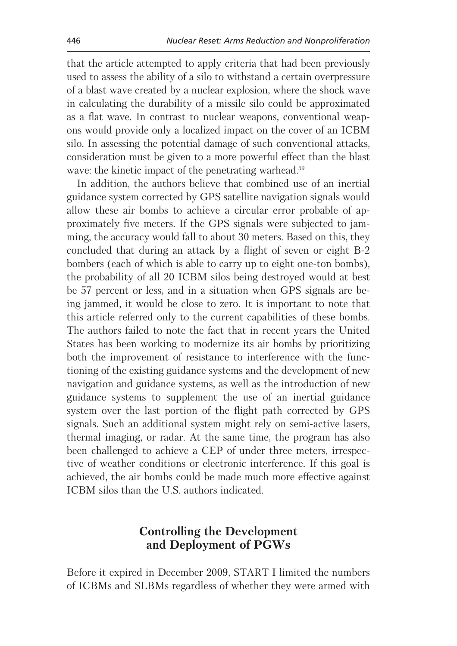that the article attempted to apply criteria that had been previously used to assess the ability of a silo to withstand a certain overpressure of a blast wave created by a nuclear explosion, where the shock wave in calculating the durability of a missile silo could be approximated as a flat wave. In contrast to nuclear weapons, conventional weapons would provide only a localized impact on the cover of an ICBM silo. In assessing the potential damage of such conventional attacks, consideration must be given to a more powerful effect than the blast wave: the kinetic impact of the penetrating warhead.<sup>59</sup>

In addition, the authors believe that combined use of an inertial guidance system corrected by GPS satellite navigation signals would allow these air bombs to achieve a circular error probable of approximately five meters. If the GPS signals were subjected to jamming, the accuracy would fall to about 30 meters. Based on this, they concluded that during an attack by a flight of seven or eight B-2 bombers (each of which is able to carry up to eight one-ton bombs). the probability of all 20 ICBM silos being destroyed would at best be 57 percent or less, and in a situation when GPS signals are being jammed, it would be close to zero. It is important to note that this article referred only to the current capabilities of these bombs. The authors failed to note the fact that in recent years the United States has been working to modernize its air bombs by prioritizing both the improvement of resistance to interference with the functioning of the existing guidance systems and the development of new navigation and guidance systems, as well as the introduction of new guidance systems to supplement the use of an inertial guidance system over the last portion of the flight path corrected by GPS signals. Such an additional system might rely on semi-active lasers, thermal imaging, or radar. At the same time, the program has also been challenged to achieve a CEP of under three meters, irrespective of weather conditions or electronic interference. If this goal is achieved, the air bombs could be made much more effective against ICBM silos than the U.S. authors indicated.

## **Controlling the Development** and Deployment of PGWs

Before it expired in December 2009, START I limited the numbers of ICBMs and SLBMs regardless of whether they were armed with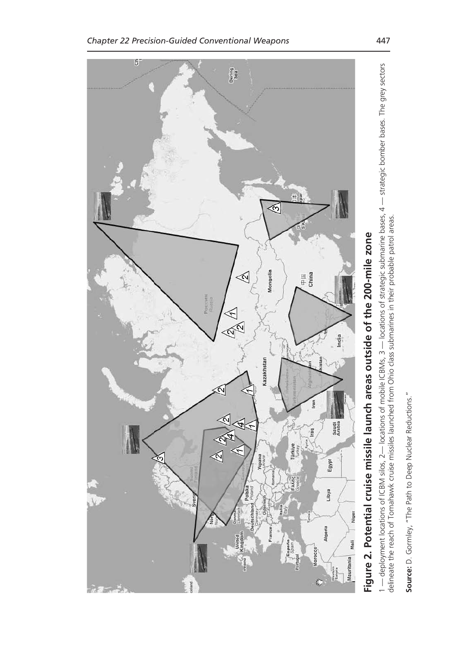

# Figure 2. Potential cruise missile launch areas outside of the 200-mile zone

1 — deployment locations of ICBM silos, 2— locations of mobile ICBMs, 3 — locations of strategic submarine bases, 4 — strategic bomber bases. The grey sectors<br>delineate the reach of Tomahawk cruise missiles launched from O

Source: D. Gormley, "The Path to Deep Nuclear Reductions."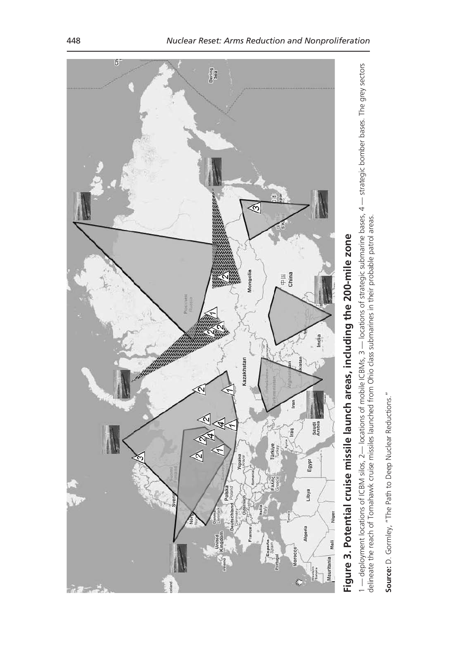

Source: D. Gormley, "The Path to Deep Nuclear Reductions."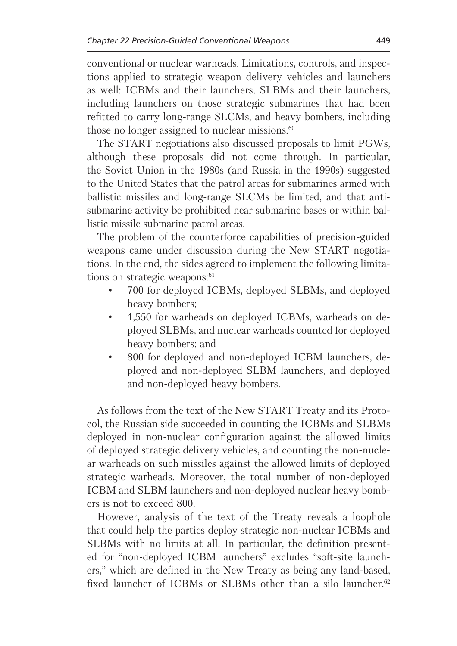conventional or nuclear warheads. Limitations, controls, and inspections applied to strategic weapon delivery vehicles and launchers as well: ICBMs and their launchers, SLBMs and their launchers, including launchers on those strategic submarines that had been refitted to carry long-range SLCMs, and heavy bombers, including those no longer assigned to nuclear missions. $60$ 

The START negotiations also discussed proposals to limit PGWs, although these proposals did not come through. In particular, the Soviet Union in the 1980s (and Russia in the 1990s) suggested to the United States that the patrol areas for submarines armed with ballistic missiles and long-range SLCMs be limited, and that antisubmarine activity be prohibited near submarine bases or within ballistic missile submarine patrol areas.

The problem of the counterforce capabilities of precision-guided weapons came under discussion during the New START negotiations. In the end, the sides agreed to implement the following limitations on strategic weapons:<sup>61</sup>

- 700 for deployed ICBMs, deployed SLBMs, and deployed  $\bullet$ heavy bombers;
- 1,550 for warheads on deployed ICBMs, warheads on de- $\bullet$ ployed SLBMs, and nuclear warheads counted for deployed heavy bombers; and
- 800 for deployed and non-deployed ICBM launchers, de- $\bullet$ ployed and non-deployed SLBM launchers, and deployed and non-deployed heavy bombers.

As follows from the text of the New START Treaty and its Protocol, the Russian side succeeded in counting the ICBMs and SLBMs deployed in non-nuclear configuration against the allowed limits of deployed strategic delivery vehicles, and counting the non-nuclear warheads on such missiles against the allowed limits of deployed strategic warheads. Moreover, the total number of non-deployed ICBM and SLBM launchers and non-deployed nuclear heavy bombers is not to exceed 800.

However, analysis of the text of the Treaty reveals a loophole that could help the parties deploy strategic non-nuclear ICBMs and SLBMs with no limits at all. In particular, the definition presented for "non-deployed ICBM launchers" excludes "soft-site launchers," which are defined in the New Treaty as being any land-based, fixed launcher of ICBMs or SLBMs other than a silo launcher.<sup>62</sup>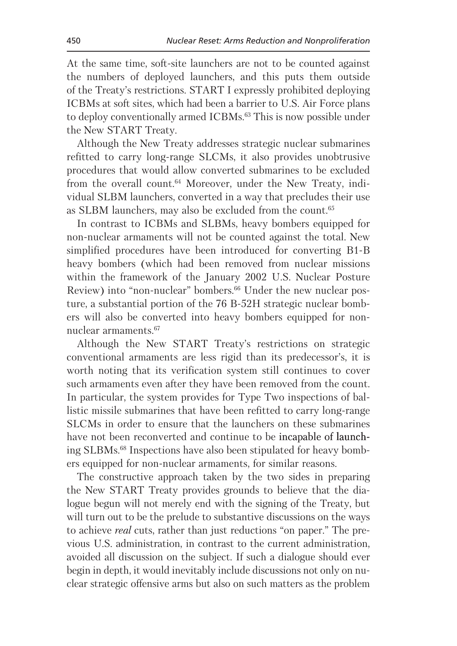At the same time, soft-site launchers are not to be counted against the numbers of deployed launchers, and this puts them outside of the Treaty's restrictions. START I expressly prohibited deploying ICBMs at soft sites, which had been a barrier to U.S. Air Force plans to deploy conventionally armed ICBMs.<sup>63</sup> This is now possible under the New START Treaty.

Although the New Treaty addresses strategic nuclear submarines refitted to carry long-range SLCMs, it also provides unobtrusive procedures that would allow converted submarines to be excluded from the overall count.<sup>64</sup> Moreover, under the New Treaty, individual SLBM launchers, converted in a way that precludes their use as SLBM launchers, may also be excluded from the count.<sup>65</sup>

In contrast to ICBMs and SLBMs, heavy bombers equipped for non-nuclear armaments will not be counted against the total. New simplified procedures have been introduced for converting B1-B heavy bombers (which had been removed from nuclear missions within the framework of the January 2002 U.S. Nuclear Posture Review) into "non-nuclear" bombers.<sup>66</sup> Under the new nuclear posture, a substantial portion of the 76 B-52H strategic nuclear bombers will also be converted into heavy bombers equipped for nonnuclear armaments.<sup>67</sup>

Although the New START Treaty's restrictions on strategic conventional armaments are less rigid than its predecessor's, it is worth noting that its verification system still continues to cover such armaments even after they have been removed from the count. In particular, the system provides for Type Two inspections of ballistic missile submarines that have been refitted to carry long-range SLCMs in order to ensure that the launchers on these submarines have not been reconverted and continue to be incapable of launching SLBMs.<sup>68</sup> Inspections have also been stipulated for heavy bombers equipped for non-nuclear armaments, for similar reasons.

The constructive approach taken by the two sides in preparing the New START Treaty provides grounds to believe that the dialogue begun will not merely end with the signing of the Treaty, but will turn out to be the prelude to substantive discussions on the ways to achieve *real* cuts, rather than just reductions "on paper." The previous U.S. administration, in contrast to the current administration. avoided all discussion on the subject. If such a dialogue should ever begin in depth, it would inevitably include discussions not only on nuclear strategic offensive arms but also on such matters as the problem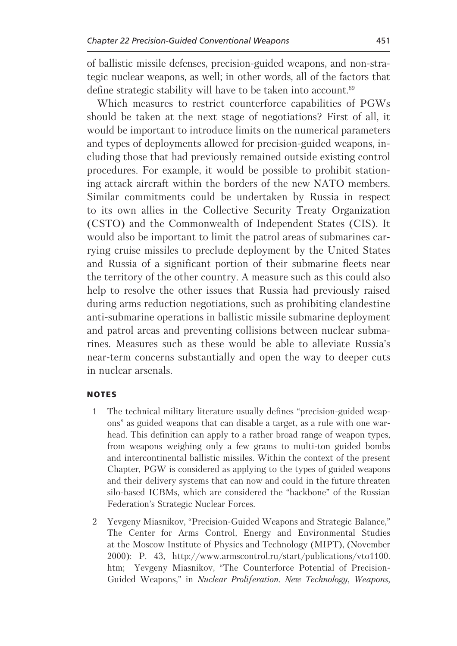of ballistic missile defenses, precision-guided weapons, and non-strategic nuclear weapons, as well; in other words, all of the factors that define strategic stability will have to be taken into account.<sup>69</sup>

Which measures to restrict counterforce capabilities of PGWs should be taken at the next stage of negotiations? First of all, it would be important to introduce limits on the numerical parameters and types of deployments allowed for precision-guided weapons, including those that had previously remained outside existing control procedures. For example, it would be possible to prohibit stationing attack aircraft within the borders of the new NATO members. Similar commitments could be undertaken by Russia in respect to its own allies in the Collective Security Treaty Organization (CSTO) and the Commonwealth of Independent States (CIS). It would also be important to limit the patrol areas of submarines carrying cruise missiles to preclude deployment by the United States and Russia of a significant portion of their submarine fleets near the territory of the other country. A measure such as this could also help to resolve the other issues that Russia had previously raised during arms reduction negotiations, such as prohibiting clandestine anti-submarine operations in ballistic missile submarine deployment and patrol areas and preventing collisions between nuclear submarines. Measures such as these would be able to alleviate Russia's near-term concerns substantially and open the way to deeper cuts in nuclear arsenals.

### **NOTES**

- $\mathbf{1}$ The technical military literature usually defines "precision-guided weapons" as guided weapons that can disable a target, as a rule with one warhead. This definition can apply to a rather broad range of weapon types, from weapons weighing only a few grams to multi-ton guided bombs and intercontinental ballistic missiles. Within the context of the present Chapter, PGW is considered as applying to the types of guided weapons and their delivery systems that can now and could in the future threaten silo-based ICBMs, which are considered the "backbone" of the Russian Federation's Strategic Nuclear Forces.
- 2 Yevgeny Miasnikov, "Precision-Guided Weapons and Strategic Balance," The Center for Arms Control, Energy and Environmental Studies at the Moscow Institute of Physics and Technology (MIPT), (November 2000): P. 43, http://www.armscontrol.ru/start/publications/vto1100. htm; Yevgeny Miasnikov, "The Counterforce Potential of Precision-Guided Weapons," in Nuclear Proliferation. New Technology, Weapons,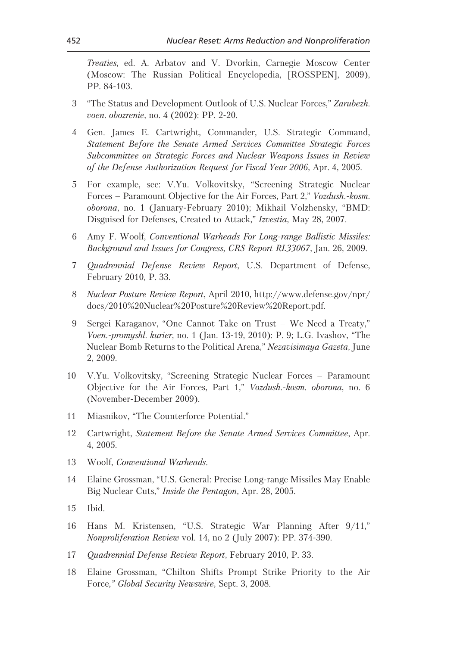Treaties, ed. A. Arbatov and V. Dvorkin, Carnegie Moscow Center (Moscow: The Russian Political Encyclopedia, [ROSSPEN], 2009), PP. 84-103.

- 3 "The Status and Development Outlook of U.S. Nuclear Forces," Zarubezh. voen. obozrenie, no. 4 (2002): PP. 2-20.
- Gen. James E. Cartwright, Commander, U.S. Strategic Command,  $\overline{4}$ Statement Before the Senate Armed Services Committee Strategic Forces Subcommittee on Strategic Forces and Nuclear Weapons Issues in Review of the Defense Authorization Request for Fiscal Year 2006, Apr. 4, 2005.
- For example, see: V.Yu. Volkovitsky, "Screening Strategic Nuclear  $5^{\circ}$ Forces – Paramount Objective for the Air Forces, Part 2," Vozdush.-kosm. oborona, no. 1 (January-February 2010); Mikhail Volzhensky, "BMD: Disguised for Defenses, Created to Attack," Izvestia, May 28, 2007.
- Amy F. Woolf, Conventional Warheads For Long-range Ballistic Missiles: 6 Background and Issues for Congress, CRS Report RL33067, Jan. 26, 2009.
- Quadrennial Defense Review Report, U.S. Department of Defense,  $\overline{7}$ February 2010, P. 33.
- *Nuclear Posture Review Report, April 2010, http://www.defense.gov/npr/* 8 docs/2010%20Nuclear%20Posture%20Review%20Report.pdf.
- Sergei Karaganov, "One Cannot Take on Trust We Need a Treaty," 9 Voen.-promyshl. kurier, no. 1 (Jan. 13-19, 2010): P. 9; L.G. Ivashov, "The Nuclear Bomb Returns to the Political Arena," Nezavisimaya Gazeta, June 2, 2009.
- V.Yu. Volkovitsky, "Screening Strategic Nuclear Forces Paramount  $10<sup>1</sup>$ Objective for the Air Forces, Part 1," Vozdush.-kosm. oborona, no. 6 (November-December 2009).
- Miasnikov, "The Counterforce Potential." 11
- Cartwright, Statement Before the Senate Armed Services Committee, Apr. 12 4, 2005.
- 13 Woolf, Conventional Warheads.
- Elaine Grossman, "U.S. General: Precise Long-range Missiles May Enable  $14$ Big Nuclear Cuts," Inside the Pentagon, Apr. 28, 2005.
- $15<sup>15</sup>$ Ibid.
- Hans M. Kristensen, "U.S. Strategic War Planning After 9/11,"  $16$ Nonproliferation Review vol. 14, no 2 (July 2007): PP. 374-390.
- Quadrennial Defense Review Report, February 2010, P. 33. 17
- 18 Elaine Grossman, "Chilton Shifts Prompt Strike Priority to the Air Force," Global Security Newswire, Sept. 3, 2008.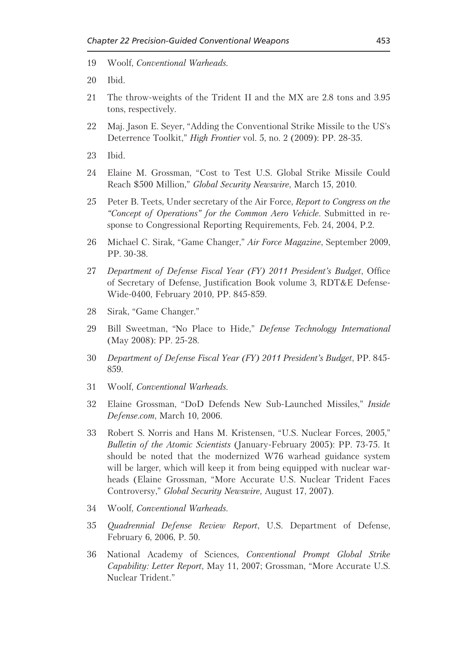- Woolf, Conventional Warheads. 19
- 20 Ibid.
- The throw-weights of the Trident II and the MX are 2.8 tons and 3.95 21 tons, respectively.
- 22 Maj. Jason E. Seyer, "Adding the Conventional Strike Missile to the US's Deterrence Toolkit," *High Frontier* vol. 5, no. 2 (2009): PP. 28-35.
- 23 Ibid.
- 24 Elaine M. Grossman, "Cost to Test U.S. Global Strike Missile Could Reach \$500 Million," Global Security Newswire, March 15, 2010.
- 25 Peter B. Teets, Under secretary of the Air Force, Report to Congress on the "Concept of Operations" for the Common Aero Vehicle. Submitted in response to Congressional Reporting Requirements, Feb. 24, 2004, P.2.
- Michael C. Sirak, "Game Changer," Air Force Magazine, September 2009. 26 PP. 30-38.
- Department of Defense Fiscal Year (FY) 2011 President's Budget, Office 27 of Secretary of Defense, Justification Book volume 3, RDT&E Defense-Wide-0400, February 2010, PP. 845-859.
- Sirak, "Game Changer." 28
- Bill Sweetman, "No Place to Hide," Defense Technology International 29 (May 2008): PP. 25-28.
- Department of Defense Fiscal Year (FY) 2011 President's Budget, PP. 845-30 859.
- 31 Woolf, Conventional Warheads.
- 32 Elaine Grossman, "DoD Defends New Sub-Launched Missiles," Inside Defense.com, March 10, 2006.
- 33 Robert S. Norris and Hans M. Kristensen, "U.S. Nuclear Forces, 2005," Bulletin of the Atomic Scientists (January-February 2005): PP. 73-75. It should be noted that the modernized W76 warhead guidance system will be larger, which will keep it from being equipped with nuclear warheads (Elaine Grossman, "More Accurate U.S. Nuclear Trident Faces Controversy," Global Security Newswire, August 17, 2007).
- Woolf, *Conventional Warheads*, 34
- Quadrennial Defense Review Report, U.S. Department of Defense, 35 February 6, 2006, P. 50.
- National Academy of Sciences, Conventional Prompt Global Strike 36 Capability: Letter Report, May 11, 2007; Grossman, "More Accurate U.S. Nuclear Trident."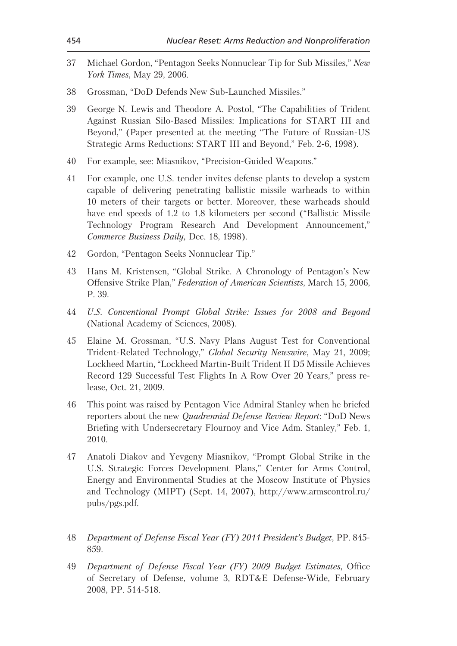- Michael Gordon, "Pentagon Seeks Nonnuclear Tip for Sub Missiles," New 37 York Times, May 29, 2006.
- Grossman, "DoD Defends New Sub-Launched Missiles." 38
- George N. Lewis and Theodore A. Postol, "The Capabilities of Trident 39 Against Russian Silo-Based Missiles: Implications for START III and Beyond," (Paper presented at the meeting "The Future of Russian-US Strategic Arms Reductions: START III and Beyond," Feb. 2-6, 1998).
- For example, see: Miasnikov, "Precision-Guided Weapons." 40
- For example, one U.S. tender invites defense plants to develop a system 41 capable of delivering penetrating ballistic missile warheads to within 10 meters of their targets or better. Moreover, these warheads should have end speeds of 1.2 to 1.8 kilometers per second ("Ballistic Missile") Technology Program Research And Development Announcement," Commerce Business Daily, Dec. 18, 1998).
- Gordon, "Pentagon Seeks Nonnuclear Tip." 42
- Hans M. Kristensen, "Global Strike. A Chronology of Pentagon's New 43 Offensive Strike Plan," Federation of American Scientists, March 15, 2006, P. 39.
- U.S. Conventional Prompt Global Strike: Issues for 2008 and Beyond  $44$ (National Academy of Sciences, 2008).
- Elaine M. Grossman, "U.S. Navy Plans August Test for Conventional 45 Trident-Related Technology," Global Security Newswire, May 21, 2009; Lockheed Martin, "Lockheed Martin-Built Trident II D5 Missile Achieves Record 129 Successful Test Flights In A Row Over 20 Years," press release, Oct. 21, 2009.
- This point was raised by Pentagon Vice Admiral Stanley when he briefed 46 reporters about the new *Quadrennial Defense Review Report*: "DoD News Briefing with Undersecretary Flournoy and Vice Adm. Stanley," Feb. 1, 2010.
- 47 Anatoli Diakov and Yevgeny Miasnikov, "Prompt Global Strike in the U.S. Strategic Forces Development Plans," Center for Arms Control, Energy and Environmental Studies at the Moscow Institute of Physics and Technology (MIPT) (Sept. 14, 2007), http://www.armscontrol.ru/ pubs/pgs.pdf.
- 48 Department of Defense Fiscal Year (FY) 2011 President's Budget, PP. 845-859.
- Department of Defense Fiscal Year (FY) 2009 Budget Estimates, Office 49 of Secretary of Defense, volume 3, RDT&E Defense-Wide, February 2008, PP. 514-518.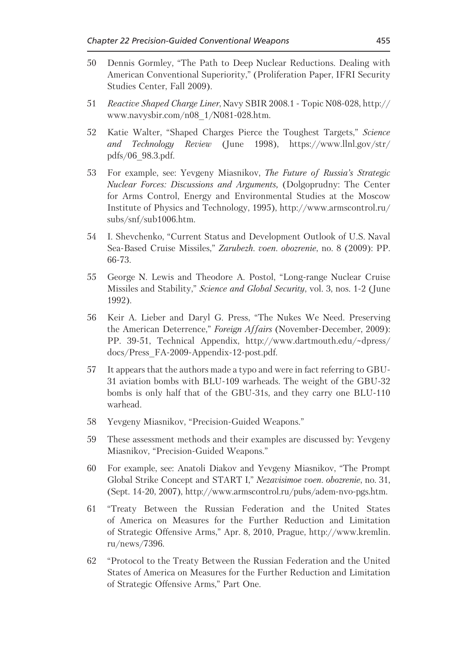- Dennis Gormley, "The Path to Deep Nuclear Reductions. Dealing with 50 American Conventional Superiority," (Proliferation Paper, IFRI Security Studies Center, Fall 2009).
- $51$ Reactive Shaped Charge Liner, Navy SBIR 2008.1 - Topic N08-028, http:// www.navysbir.com/n08 1/N081-028.htm.
- 52 Katie Walter, "Shaped Charges Pierce the Toughest Targets," Science Technology *Review* (June 1998), https://www.llnl.gov/str/ and pdfs/06 98.3.pdf.
- 53 For example, see: Yevgeny Miasnikov, The Future of Russia's Strategic Nuclear Forces: Discussions and Arguments, (Dolgoprudny: The Center for Arms Control, Energy and Environmental Studies at the Moscow Institute of Physics and Technology, 1995), http://www.armscontrol.ru/  $subs/snf/sub1006.htm.$
- I. Shevchenko, "Current Status and Development Outlook of U.S. Naval 54 Sea-Based Cruise Missiles," Zarubezh. voen. obozrenie, no. 8 (2009): PP. 66-73.
- George N. Lewis and Theodore A. Postol, "Long-range Nuclear Cruise" 55 Missiles and Stability," Science and Global Security, vol. 3, nos. 1-2 (June 1992).
- Keir A. Lieber and Daryl G. Press, "The Nukes We Need. Preserving 56 the American Deterrence," Foreign Affairs (November-December, 2009): PP. 39-51, Technical Appendix, http://www.dartmouth.edu/~dpress/ docs/Press FA-2009-Appendix-12-post.pdf.
- 57 It appears that the authors made a typo and were in fact referring to GBU-31 aviation bombs with BLU-109 warheads. The weight of the GBU-32 bombs is only half that of the GBU-31s, and they carry one BLU-110 warhead.
- Yevgeny Miasnikov, "Precision-Guided Weapons." 58
- 59 These assessment methods and their examples are discussed by: Yevgeny Miasnikov, "Precision-Guided Weapons."
- For example, see: Anatoli Diakov and Yevgeny Miasnikov, "The Prompt 60 Global Strike Concept and START I," Nezavisimoe voen. obozrenie, no. 31, (Sept. 14-20, 2007), http://www.armscontrol.ru/pubs/adem-nyo-pgs.htm.
- "Treaty Between the Russian Federation and the United States 61 of America on Measures for the Further Reduction and Limitation of Strategic Offensive Arms," Apr. 8, 2010, Prague, http://www.kremlin. ru/news/7396.
- "Protocol to the Treaty Between the Russian Federation and the United 62 States of America on Measures for the Further Reduction and Limitation of Strategic Offensive Arms," Part One.